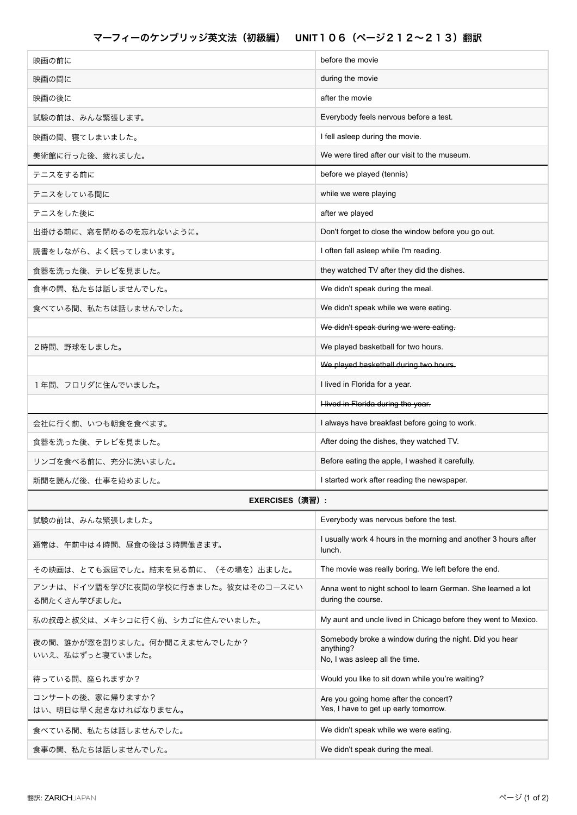| 映画の前に                                               | before the movie                                                                                      |
|-----------------------------------------------------|-------------------------------------------------------------------------------------------------------|
| 映画の間に                                               | during the movie                                                                                      |
| 映画の後に                                               | after the movie                                                                                       |
| 試験の前は、みんな緊張します。                                     | Everybody feels nervous before a test.                                                                |
| 映画の間、寝てしまいました。                                      | I fell asleep during the movie.                                                                       |
| 美術館に行った後、疲れました。                                     | We were tired after our visit to the museum.                                                          |
| テニスをする前に                                            | before we played (tennis)                                                                             |
| テニスをしている間に                                          | while we were playing                                                                                 |
| テニスをした後に                                            | after we played                                                                                       |
| 出掛ける前に、窓を閉めるのを忘れないように。                              | Don't forget to close the window before you go out.                                                   |
| 読書をしながら、よく眠ってしまいます。                                 | I often fall asleep while I'm reading.                                                                |
| 食器を洗った後、テレビを見ました。                                   | they watched TV after they did the dishes.                                                            |
| 食事の間、私たちは話しませんでした。                                  | We didn't speak during the meal.                                                                      |
| 食べている間、私たちは話しませんでした。                                | We didn't speak while we were eating.                                                                 |
|                                                     | We didn't speak during we were eating.                                                                |
| 2時間、野球をしました。                                        | We played basketball for two hours.                                                                   |
|                                                     | We played basketball during two hours.                                                                |
| 1年間、フロリダに住んでいました。                                   | I lived in Florida for a year.                                                                        |
|                                                     | Hived in Florida during the year.                                                                     |
| 会社に行く前、いつも朝食を食べます。                                  | I always have breakfast before going to work.                                                         |
| 食器を洗った後、テレビを見ました。                                   | After doing the dishes, they watched TV.                                                              |
| リンゴを食べる前に、充分に洗いました。                                 | Before eating the apple, I washed it carefully.                                                       |
| 新聞を読んだ後、仕事を始めました。                                   | I started work after reading the newspaper.                                                           |
| <b>EXERCISES (演習):</b>                              |                                                                                                       |
| 試験の前は、みんな緊張しました。                                    | Everybody was nervous before the test.                                                                |
| 通常は、午前中は4時間、昼食の後は3時間働きます。                           | I usually work 4 hours in the morning and another 3 hours after<br>lunch.                             |
| その映画は、とても退屈でした。結末を見る前に、(その場を)出ました。                  | The movie was really boring. We left before the end.                                                  |
| アンナは、ドイツ語を学びに夜間の学校に行きました。彼女はそのコースにい<br>る間たくさん学びました。 | Anna went to night school to learn German. She learned a lot<br>during the course.                    |
| 私の叔母と叔父は、メキシコに行く前、シカゴに住んでいました。                      | My aunt and uncle lived in Chicago before they went to Mexico.                                        |
| 夜の間、誰かが窓を割りました。何か聞こえませんでしたか?<br>いいえ、私はずっと寝ていました。    | Somebody broke a window during the night. Did you hear<br>anything?<br>No, I was asleep all the time. |
| 待っている間、座られますか?                                      | Would you like to sit down while you're waiting?                                                      |
| コンサートの後、家に帰りますか?<br>はい、明日は早く起きなければなりません。            | Are you going home after the concert?<br>Yes, I have to get up early tomorrow.                        |
| 食べている間、私たちは話しませんでした。                                | We didn't speak while we were eating.                                                                 |
| 食事の間、私たちは話しませんでした。                                  | We didn't speak during the meal.                                                                      |